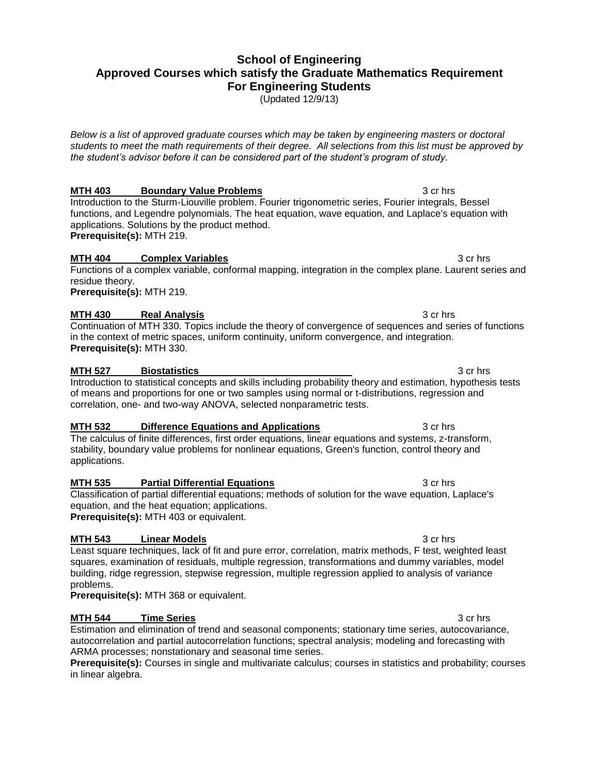# **School of Engineering Approved Courses which satisfy the Graduate Mathematics Requirement For Engineering Students**

(Updated 12/9/13)

*Below is a list of approved graduate courses which may be taken by engineering masters or doctoral students to meet the math requirements of their degree. All selections from this list must be approved by the student's advisor before it can be considered part of the student's program of study.*

**MTH 403 Boundary Value Problems 3 cr hrs** 3 cr hrs Introduction to the Sturm-Liouville problem. Fourier trigonometric series, Fourier integrals, Bessel functions, and Legendre polynomials. The heat equation, wave equation, and Laplace's equation with applications. Solutions by the product method.

**Prerequisite(s):** MTH 219.

### **MTH 404 <b>Complex Variables** 3 cr hrs

Functions of a complex variable, conformal mapping, integration in the complex plane. Laurent series and residue theory. **Prerequisite(s):** MTH 219.

### **MTH 430 Real Analysis 3** cr hrs

Continuation of MTH 330. Topics include the theory of convergence of sequences and series of functions in the context of metric spaces, uniform continuity, uniform convergence, and integration. **Prerequisite(s):** MTH 330.

#### **MTH 527 Biostatistics All 2018 Biostatistics 3** cr hrs

#### Introduction to statistical concepts and skills including probability theory and estimation, hypothesis tests of means and proportions for one or two samples using normal or t-distributions, regression and correlation, one- and two-way ANOVA, selected nonparametric tests.

### **MTH 532 Difference Equations and Applications** 3 cr hrs

The calculus of finite differences, first order equations, linear equations and systems, z-transform, stability, boundary value problems for nonlinear equations, Green's function, control theory and applications.

#### **MTH 535 Partial Differential Equations 3 cr hrs**

### Classification of partial differential equations; methods of solution for the wave equation, Laplace's equation, and the heat equation; applications.

**Prerequisite(s):** MTH 403 or equivalent.

### **MTH 543 Linear Models 3 cr hrs** 3 cr hrs

Least square techniques, lack of fit and pure error, correlation, matrix methods, F test, weighted least squares, examination of residuals, multiple regression, transformations and dummy variables, model building, ridge regression, stepwise regression, multiple regression applied to analysis of variance problems.

**Prerequisite(s):** MTH 368 or equivalent.

### **MTH 544 Time Series 3 cr hrs**

Estimation and elimination of trend and seasonal components; stationary time series, autocovariance, autocorrelation and partial autocorrelation functions; spectral analysis; modeling and forecasting with ARMA processes; nonstationary and seasonal time series.

**Prerequisite(s):** Courses in single and multivariate calculus; courses in statistics and probability; courses in linear algebra.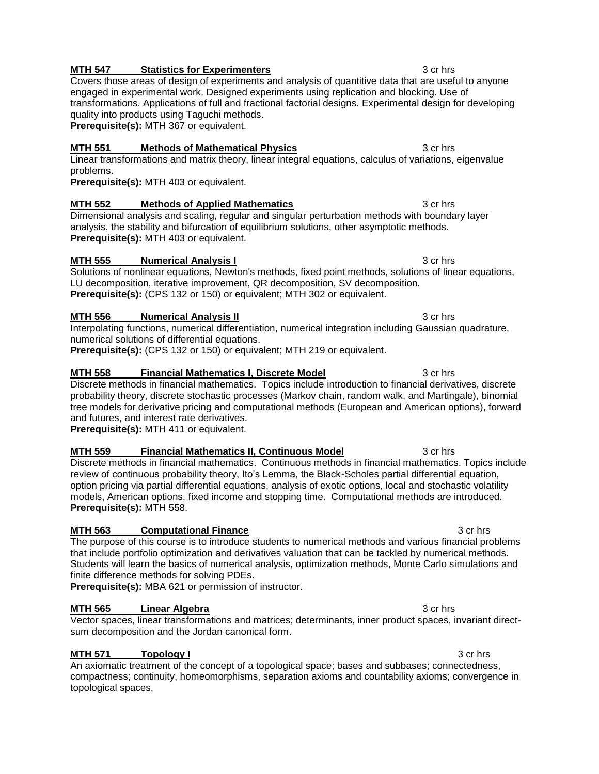### **MTH 547 Statistics for Experimenters 3 cr hrs** 3 cr hrs

Covers those areas of design of experiments and analysis of quantitive data that are useful to anyone engaged in experimental work. Designed experiments using replication and blocking. Use of transformations. Applications of full and fractional factorial designs. Experimental design for developing quality into products using Taguchi methods. **Prerequisite(s):** MTH 367 or equivalent.

### **MTH 551 Methods of Mathematical Physics** 3 cr hrs

### Linear transformations and matrix theory, linear integral equations, calculus of variations, eigenvalue problems.

**Prerequisite(s):** MTH 403 or equivalent.

## **MTH 552 Methods of Applied Mathematics** 3 cr hrs

Dimensional analysis and scaling, regular and singular perturbation methods with boundary layer analysis, the stability and bifurcation of equilibrium solutions, other asymptotic methods. **Prerequisite(s):** MTH 403 or equivalent.

## **MTH 555 Numerical Analysis I 3 cr hrs**

Solutions of nonlinear equations, Newton's methods, fixed point methods, solutions of linear equations, LU decomposition, iterative improvement, QR decomposition, SV decomposition. **Prerequisite(s):** (CPS 132 or 150) or equivalent; MTH 302 or equivalent.

## **MTH 556 • Numerical Analysis II 3 cr hrs** 3 cr hrs

Interpolating functions, numerical differentiation, numerical integration including Gaussian quadrature, numerical solutions of differential equations.

**Prerequisite(s):** (CPS 132 or 150) or equivalent; MTH 219 or equivalent.

# **MTH 558 Financial Mathematics I, Discrete Model** 3 cr hrs

Discrete methods in financial mathematics. Topics include introduction to financial derivatives, discrete probability theory, discrete stochastic processes (Markov chain, random walk, and Martingale), binomial tree models for derivative pricing and computational methods (European and American options), forward and futures, and interest rate derivatives.

**Prerequisite(s):** MTH 411 or equivalent.

# **MTH 559 Financial Mathematics II, Continuous Model** 3 cr hrs

Discrete methods in financial mathematics. Continuous methods in financial mathematics. Topics include review of continuous probability theory, Ito's Lemma, the Black-Scholes partial differential equation, option pricing via partial differential equations, analysis of exotic options, local and stochastic volatility models, American options, fixed income and stopping time. Computational methods are introduced. **Prerequisite(s):** MTH 558.

# **MTH 563 Computational Finance 3 cr hrs** 3 cr hrs

The purpose of this course is to introduce students to numerical methods and various financial problems that include portfolio optimization and derivatives valuation that can be tackled by numerical methods. Students will learn the basics of numerical analysis, optimization methods, Monte Carlo simulations and finite difference methods for solving PDEs.

**Prerequisite(s):** MBA 621 or permission of instructor.

# **MTH 565 Linear Algebra 3** cr hrs

Vector spaces, linear transformations and matrices; determinants, inner product spaces, invariant directsum decomposition and the Jordan canonical form.

# **MTH 571 Topology I The Contract of the Contract of the Contract of the Contract of the Contract of the Contract of the Contract of the Contract of the Contract of the Contract of the Contract of the Contract of the Co**

An axiomatic treatment of the concept of a topological space; bases and subbases; connectedness, compactness; continuity, homeomorphisms, separation axioms and countability axioms; convergence in topological spaces.